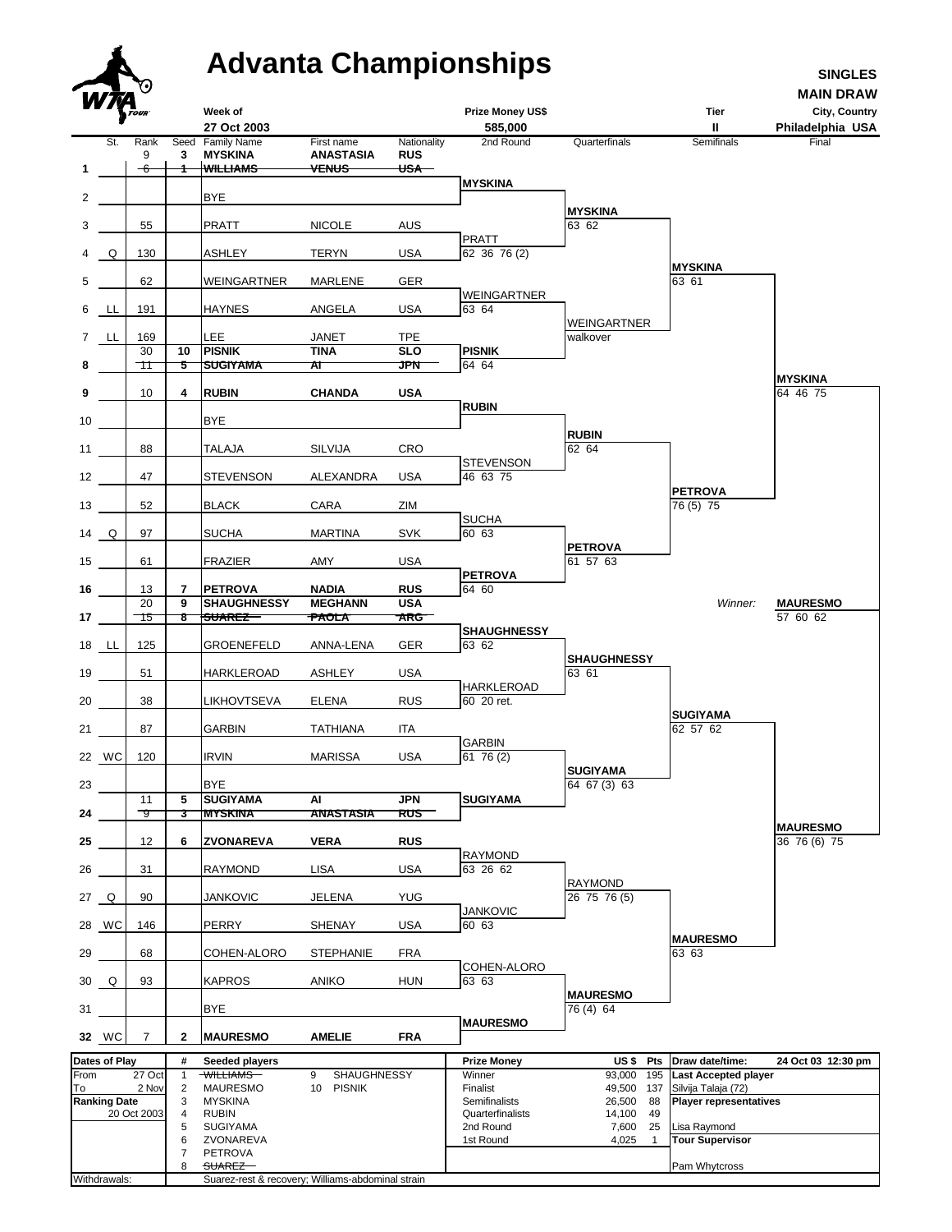## **Advanta Championships SINGLES**

**MAIN DRAW**

|                 | W MA                | <b>D</b> TOUR                  |                                 | Week of                                                                                                          |                                             |                                     | <b>Prize Money US\$</b>                                                           |                                                                                                        | Tier                                                                                                                          | City, Country                   |
|-----------------|---------------------|--------------------------------|---------------------------------|------------------------------------------------------------------------------------------------------------------|---------------------------------------------|-------------------------------------|-----------------------------------------------------------------------------------|--------------------------------------------------------------------------------------------------------|-------------------------------------------------------------------------------------------------------------------------------|---------------------------------|
|                 |                     |                                |                                 | 27 Oct 2003                                                                                                      |                                             |                                     | 585,000                                                                           |                                                                                                        | Ш                                                                                                                             | Philadelphia USA                |
| $\mathbf 1$     | St.                 | Rank<br>9<br>-6                | 3                               | Seed Family Name<br><b>MYSKINA</b><br><b>WILLIAMS</b>                                                            | First name<br>ANASTASIA<br><del>VENUS</del> | Nationality<br><b>RUS</b><br>$USA-$ | 2nd Round                                                                         | Quarterfinals                                                                                          | Semifinals                                                                                                                    | Final                           |
|                 |                     |                                |                                 |                                                                                                                  |                                             |                                     | <b>MYSKINA</b>                                                                    |                                                                                                        |                                                                                                                               |                                 |
| $\mathbf{2}$    |                     |                                |                                 | <b>BYE</b>                                                                                                       |                                             |                                     |                                                                                   | <b>MYSKINA</b>                                                                                         |                                                                                                                               |                                 |
| 3               |                     | 55                             |                                 | PRATT                                                                                                            | <b>NICOLE</b>                               | <b>AUS</b>                          |                                                                                   | 63 62                                                                                                  |                                                                                                                               |                                 |
|                 | 4 Q                 | 130                            |                                 | ASHLEY                                                                                                           | <b>TERYN</b>                                | <b>USA</b>                          | <b>PRATT</b><br>62 36 76 (2)                                                      |                                                                                                        |                                                                                                                               |                                 |
| 5               |                     | 62                             |                                 | WEINGARTNER                                                                                                      | MARLENE                                     | GER                                 |                                                                                   |                                                                                                        | <b>MYSKINA</b><br>63 61                                                                                                       |                                 |
|                 | 6 LL                | 191                            |                                 | <b>HAYNES</b>                                                                                                    | ANGELA                                      | <b>USA</b>                          | <b>WEINGARTNER</b><br>63 64                                                       |                                                                                                        |                                                                                                                               |                                 |
|                 | 7 LL                | 169                            |                                 | LEE.                                                                                                             | JANET                                       | <b>TPE</b>                          |                                                                                   | WEINGARTNER<br>walkover                                                                                |                                                                                                                               |                                 |
|                 |                     | 30                             | 10                              | <b>PISNIK</b>                                                                                                    | <b>TINA</b>                                 | <b>SLO</b>                          | <b>PISNIK</b>                                                                     |                                                                                                        |                                                                                                                               |                                 |
| 8               |                     | ᠇᠊᠋                            | 5                               | <b>SUGIYAMA</b>                                                                                                  | ΑT                                          | <b>JPN</b>                          | 64 64                                                                             |                                                                                                        |                                                                                                                               | <b>MYSKINA</b>                  |
| 9               |                     | 10                             | 4                               | <b>RUBIN</b>                                                                                                     | <b>CHANDA</b>                               | <b>USA</b>                          | <b>RUBIN</b>                                                                      |                                                                                                        |                                                                                                                               | 64 46 75                        |
| 10              |                     |                                |                                 | <b>BYE</b>                                                                                                       |                                             |                                     |                                                                                   |                                                                                                        |                                                                                                                               |                                 |
| 11              |                     | 88                             |                                 | TALAJA                                                                                                           | SILVIJA                                     | <b>CRO</b>                          |                                                                                   | <b>RUBIN</b><br>62 64                                                                                  |                                                                                                                               |                                 |
| 12              |                     | 47                             |                                 | STEVENSON                                                                                                        | ALEXANDRA                                   | <b>USA</b>                          | <b>STEVENSON</b><br>46 63 75                                                      |                                                                                                        |                                                                                                                               |                                 |
| 13              |                     | 52                             |                                 | <b>BLACK</b>                                                                                                     | CARA                                        | ZIM                                 |                                                                                   |                                                                                                        | <b>PETROVA</b><br>76 (5) 75                                                                                                   |                                 |
| $14$ Q          |                     | 97                             |                                 | SUCHA                                                                                                            | <b>MARTINA</b>                              | <b>SVK</b>                          | <b>SUCHA</b><br>60 63                                                             |                                                                                                        |                                                                                                                               |                                 |
|                 |                     |                                |                                 |                                                                                                                  |                                             |                                     |                                                                                   | <b>PETROVA</b><br>61 57 63                                                                             |                                                                                                                               |                                 |
| 15              |                     | 61                             |                                 | FRAZIER                                                                                                          | AMY                                         | <b>USA</b>                          | <b>PETROVA</b>                                                                    |                                                                                                        |                                                                                                                               |                                 |
| 16              |                     | 13<br>20                       | $\overline{7}$<br>9             | <b>PETROVA</b><br><b>SHAUGHNESSY</b>                                                                             | <b>NADIA</b>                                | <b>RUS</b>                          | 64 60                                                                             |                                                                                                        | Winner:                                                                                                                       |                                 |
| 17 <sub>1</sub> |                     | $\overline{\mathcal{A}}$       | 8                               | <b>SUAREZ</b>                                                                                                    | <b>MEGHANN</b><br><del>PAOLA</del>          | <b>USA</b><br><b>ARG</b>            |                                                                                   |                                                                                                        |                                                                                                                               | <b>MAURESMO</b><br>57 60 62     |
|                 | 18 <u>LL</u>        | 125                            |                                 | GROENEFELD                                                                                                       | ANNA-LENA                                   | GER                                 | <b>SHAUGHNESSY</b><br>63 62                                                       |                                                                                                        |                                                                                                                               |                                 |
| 19              |                     | 51                             |                                 | <b>HARKLEROAD</b>                                                                                                | ASHLEY                                      | <b>USA</b>                          | <b>HARKLEROAD</b>                                                                 | <b>SHAUGHNESSY</b><br>63 61                                                                            |                                                                                                                               |                                 |
| 20              |                     | 38                             |                                 | LIKHOVTSEVA                                                                                                      | ELENA                                       | <b>RUS</b>                          | 60 20 ret.                                                                        |                                                                                                        |                                                                                                                               |                                 |
| 21              |                     | 87                             |                                 | GARBIN                                                                                                           | <b>TATHIANA</b>                             | ITA                                 |                                                                                   |                                                                                                        | <b>SUGIYAMA</b><br>62 57 62                                                                                                   |                                 |
|                 | 22 WC               | 120                            |                                 | <b>IRVIN</b>                                                                                                     | <b>MARISSA</b>                              | <b>USA</b>                          | <b>GARBIN</b><br>6176(2)                                                          |                                                                                                        |                                                                                                                               |                                 |
| 23              |                     |                                |                                 | <b>BYE</b>                                                                                                       |                                             |                                     |                                                                                   | <b>SUGIYAMA</b><br>64 67 (3) 63                                                                        |                                                                                                                               |                                 |
| 24              |                     | 11<br>᠆9                       | 5<br>3                          | <b>SUGIYAMA</b><br><b>MYSKINA</b>                                                                                | Al<br><b>ANASTASIA</b>                      | JPN<br>RUS                          | <b>SUGIYAMA</b>                                                                   |                                                                                                        |                                                                                                                               |                                 |
| 25              |                     | 12                             | 6                               | ZVONAREVA                                                                                                        | <b>VERA</b>                                 | <b>RUS</b>                          |                                                                                   |                                                                                                        |                                                                                                                               | <b>MAURESMO</b><br>36 76 (6) 75 |
|                 |                     |                                |                                 |                                                                                                                  |                                             |                                     | <b>RAYMOND</b>                                                                    |                                                                                                        |                                                                                                                               |                                 |
| 26              |                     | 31                             |                                 | <b>RAYMOND</b>                                                                                                   | LISA                                        | <b>USA</b>                          | 63 26 62                                                                          | RAYMOND                                                                                                |                                                                                                                               |                                 |
| 27 Q            |                     | 90                             |                                 | JANKOVIC                                                                                                         | JELENA                                      | YUG                                 | <b>JANKOVIC</b>                                                                   | 26 75 76 (5)                                                                                           |                                                                                                                               |                                 |
|                 | 28 WC               | 146                            |                                 | PERRY                                                                                                            | <b>SHENAY</b>                               | <b>USA</b>                          | 60 63                                                                             |                                                                                                        | <b>MAURESMO</b>                                                                                                               |                                 |
| 29              |                     | 68                             |                                 | COHEN-ALORO                                                                                                      | <b>STEPHANIE</b>                            | <b>FRA</b>                          | COHEN-ALORO                                                                       |                                                                                                        | 63 63                                                                                                                         |                                 |
|                 | 30 Q                | 93                             |                                 | <b>KAPROS</b>                                                                                                    | <b>ANIKO</b>                                | <b>HUN</b>                          | 63 63                                                                             | <b>MAURESMO</b>                                                                                        |                                                                                                                               |                                 |
| 31              |                     |                                |                                 | BYE                                                                                                              |                                             |                                     | <b>MAURESMO</b>                                                                   | 76 (4) 64                                                                                              |                                                                                                                               |                                 |
|                 | 32 WC               | $\overline{7}$                 | 2                               | <b>MAURESMO</b>                                                                                                  | <b>AMELIE</b>                               | <b>FRA</b>                          |                                                                                   |                                                                                                        |                                                                                                                               |                                 |
|                 | Dates of Play       |                                | #                               | Seeded players                                                                                                   |                                             |                                     | <b>Prize Money</b>                                                                | US\$ Pts                                                                                               | Draw date/time:                                                                                                               | 24 Oct 03 12:30 pm              |
| From<br>To      | <b>Ranking Date</b> | 27 Oct<br>2 Nov<br>20 Oct 2003 | 1<br>2<br>3<br>4<br>5<br>6<br>7 | WILLIAMS-<br><b>MAURESMO</b><br><b>MYSKINA</b><br><b>RUBIN</b><br><b>SUGIYAMA</b><br>ZVONAREVA<br><b>PETROVA</b> | SHAUGHNESSY<br>9<br><b>PISNIK</b><br>10     |                                     | Winner<br>Finalist<br>Semifinalists<br>Quarterfinalists<br>2nd Round<br>1st Round | 93,000<br>195<br>49,500<br>137<br>26,500<br>88<br>14,100<br>49<br>7,600<br>25<br>4,025<br>$\mathbf{1}$ | <b>Last Accepted player</b><br>Silvija Talaja (72)<br><b>Player representatives</b><br>Lisa Raymond<br><b>Tour Supervisor</b> |                                 |
|                 | Withdrawals:        |                                | 8                               | SUAREZ-<br>Suarez-rest & recovery; Williams-abdominal strain                                                     |                                             |                                     |                                                                                   |                                                                                                        | Pam Whytcross                                                                                                                 |                                 |
|                 |                     |                                |                                 |                                                                                                                  |                                             |                                     |                                                                                   |                                                                                                        |                                                                                                                               |                                 |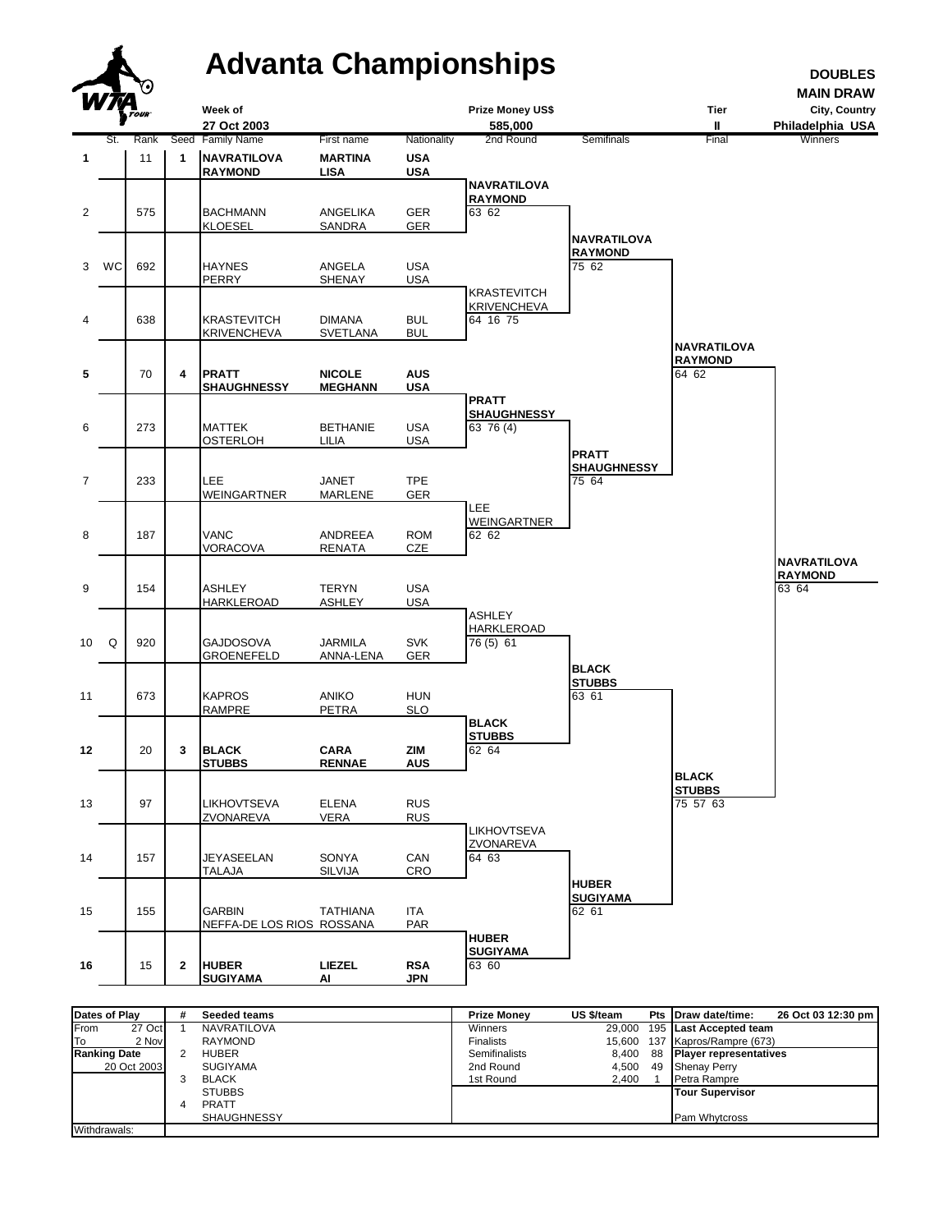

| <b>Dates of Play</b> |             | # | <b>Seeded teams</b> | <b>Prize Monev</b>   | US \$/team | Pts Draw date/time:<br>26 Oct 03 12:30 pm |
|----------------------|-------------|---|---------------------|----------------------|------------|-------------------------------------------|
| From                 | 27 Oct      |   | <b>NAVRATILOVA</b>  | Winners              |            | 29,000 195 Last Accepted team             |
| l To                 | 2 Nov       |   | <b>RAYMOND</b>      | <b>Finalists</b>     |            | 15,600 137 Kapros/Rampre (673)            |
| <b>Ranking Date</b>  |             |   | HUBER               | <b>Semifinalists</b> | 8.400      | 88 Player representatives                 |
|                      | 20 Oct 2003 |   | <b>SUGIYAMA</b>     | 2nd Round            | 4.500      | 49 Shenay Perry                           |
|                      |             |   | <b>BLACK</b>        | 1st Round            | 2.400      | Petra Rampre                              |
|                      |             |   | <b>STUBBS</b>       |                      |            | Tour Supervisor                           |
|                      |             |   | PRATT               |                      |            |                                           |
|                      |             |   | <b>SHAUGHNESSY</b>  |                      |            | <b>Pam Whytcross</b>                      |
| Withdrawals:         |             |   |                     |                      |            |                                           |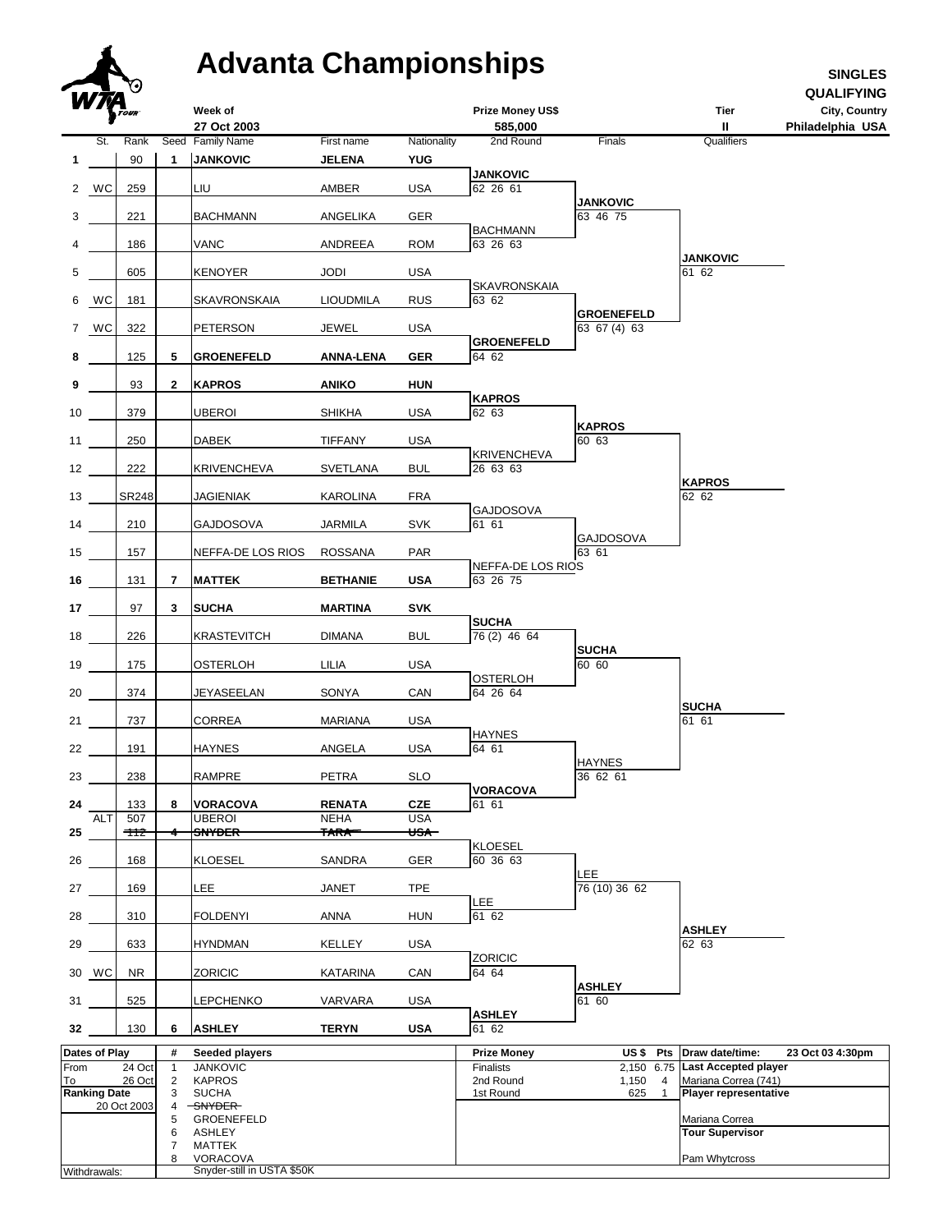## **Advanta Championships SINGLES**

|                                    | Δ             |                 |                         | <b>Advanta Championships</b>             |                              |                          |                                 |                             |                                                | <b>SINGLES</b>                                         |
|------------------------------------|---------------|-----------------|-------------------------|------------------------------------------|------------------------------|--------------------------|---------------------------------|-----------------------------|------------------------------------------------|--------------------------------------------------------|
|                                    |               | 7.)<br>TOUR     |                         | Week of<br>27 Oct 2003                   |                              |                          | Prize Money US\$<br>585,000     |                             | <b>Tier</b><br>Ш                               | <b>QUALIFYING</b><br>City, Country<br>Philadelphia USA |
|                                    | St.           | Rank            | Seed                    | <b>Family Name</b>                       | First name                   | Nationality              | 2nd Round                       | Finals                      | Qualifiers                                     |                                                        |
| 1                                  |               | 90              | 1                       | <b>JANKOVIC</b>                          | <b>JELENA</b>                | <b>YUG</b>               |                                 |                             |                                                |                                                        |
|                                    | 2 WC          | 259             |                         | LIU                                      | AMBER                        | <b>USA</b>               | <b>JANKOVIC</b><br>62 26 61     |                             |                                                |                                                        |
|                                    |               | 221             |                         | <b>BACHMANN</b>                          |                              | GER                      |                                 | <b>JANKOVIC</b><br>63 46 75 |                                                |                                                        |
| 3                                  |               |                 |                         |                                          | ANGELIKA                     |                          | <b>BACHMANN</b>                 |                             |                                                |                                                        |
| 4                                  |               | 186             |                         | VANC                                     | ANDREEA                      | <b>ROM</b>               | 63 26 63                        |                             | <b>JANKOVIC</b>                                |                                                        |
| 5                                  |               | 605             |                         | <b>KENOYER</b>                           | <b>JODI</b>                  | <b>USA</b>               | <b>SKAVRONSKAIA</b>             |                             | 61 62                                          |                                                        |
| 6                                  | WC            | 181             |                         | SKAVRONSKAIA                             | <b>LIOUDMILA</b>             | <b>RUS</b>               | 63 62                           | <b>GROENEFELD</b>           |                                                |                                                        |
|                                    | 7 WC          | 322             |                         | PETERSON                                 | JEWEL                        | <b>USA</b>               |                                 | 63 67 (4) 63                |                                                |                                                        |
| 8                                  |               | 125             | 5                       | <b>GROENEFELD</b>                        | <b>ANNA-LENA</b>             | <b>GER</b>               | <b>GROENEFELD</b><br>64 62      |                             |                                                |                                                        |
| 9                                  |               | 93              | $\mathbf{2}$            | <b>KAPROS</b>                            | <b>ANIKO</b>                 | <b>HUN</b>               |                                 |                             |                                                |                                                        |
| 10                                 |               | 379             |                         | UBEROI                                   | <b>SHIKHA</b>                | <b>USA</b>               | <b>KAPROS</b><br>62 63          |                             |                                                |                                                        |
| 11                                 |               | 250             |                         | DABEK                                    | TIFFANY                      | <b>USA</b>               |                                 | <b>KAPROS</b><br>60 63      |                                                |                                                        |
|                                    |               |                 |                         |                                          |                              |                          | <b>KRIVENCHEVA</b>              |                             |                                                |                                                        |
| 12                                 |               | 222             |                         | <b>KRIVENCHEVA</b>                       | <b>SVETLANA</b>              | <b>BUL</b>               | 26 63 63                        |                             | <b>KAPROS</b>                                  |                                                        |
| 13                                 |               | SR248           |                         | JAGIENIAK                                | KAROLINA                     | <b>FRA</b>               | <b>GAJDOSOVA</b>                |                             | 62 62                                          |                                                        |
| 14                                 |               | 210             |                         | GAJDOSOVA                                | <b>JARMILA</b>               | <b>SVK</b>               | 61 61                           | <b>GAJDOSOVA</b>            |                                                |                                                        |
| 15                                 |               | 157             |                         | NEFFA-DE LOS RIOS                        | <b>ROSSANA</b>               | PAR                      | NEFFA-DE LOS RIOS               | 63 61                       |                                                |                                                        |
| 16                                 |               | 131             | $\overline{\mathbf{r}}$ | <b>MATTEK</b>                            | <b>BETHANIE</b>              | <b>USA</b>               | 63 26 75                        |                             |                                                |                                                        |
| 17                                 |               | 97              | 3                       | <b>SUCHA</b>                             | <b>MARTINA</b>               | <b>SVK</b>               |                                 |                             |                                                |                                                        |
| 18                                 |               | 226             |                         | KRASTEVITCH                              | <b>DIMANA</b>                | <b>BUL</b>               | <b>SUCHA</b><br>76 (2) 46 64    |                             |                                                |                                                        |
| 19                                 |               | 175             |                         | OSTERLOH                                 | LILIA                        | <b>USA</b>               |                                 | <b>SUCHA</b><br>60, 60      |                                                |                                                        |
| 20                                 |               | 374             |                         | JEYASEELAN                               | SONYA                        | CAN                      | <b>OSTERLOH</b><br>64 26 64     |                             |                                                |                                                        |
| 21                                 |               | 737             |                         | CORREA                                   | <b>MARIANA</b>               | USA                      |                                 |                             | <b>SUCHA</b><br>61 61                          |                                                        |
|                                    |               |                 |                         |                                          |                              |                          | <b>HAYNES</b>                   |                             |                                                |                                                        |
| 22                                 |               | 191             |                         | <b>HAYNES</b>                            | ANGELA                       | <b>USA</b>               | 64 61                           | <b>HAYNES</b>               |                                                |                                                        |
| 23                                 |               | 238             |                         | RAMPRE                                   | PETRA                        | <b>SLO</b>               | <b>VORACOVA</b>                 | 36 62 61                    |                                                |                                                        |
| 24                                 | <b>ALT</b>    | 133<br>507      | 8                       | <b>VORACOVA</b><br><b>UBEROI</b>         | <b>RENATA</b><br><b>NEHA</b> | <b>CZE</b><br><b>USA</b> | 61 61                           |                             |                                                |                                                        |
| 25                                 |               | <del>-112</del> |                         | <del>SNYDER-</del>                       | <b>TARA</b>                  | <del>USA</del> ⊤         |                                 |                             |                                                |                                                        |
| 26                                 |               | 168             |                         | <b>KLOESEL</b>                           | <b>SANDRA</b>                | GER                      | <b>KLOESEL</b><br>60 36 63      |                             |                                                |                                                        |
| 27                                 |               | 169             |                         | LEE                                      | <b>JANET</b>                 | <b>TPE</b>               |                                 | <b>LEE</b><br>76 (10) 36 62 |                                                |                                                        |
| 28                                 |               | 310             |                         | FOLDENYI                                 | ANNA                         | <b>HUN</b>               | <b>LEE</b><br>61 62             |                             |                                                |                                                        |
| 29                                 |               | 633             |                         | HYNDMAN                                  | <b>KELLEY</b>                | <b>USA</b>               |                                 |                             | <b>ASHLEY</b><br>62 63                         |                                                        |
|                                    | 30 WC         | NR.             |                         | ZORICIC                                  | <b>KATARINA</b>              | CAN                      | <b>ZORICIC</b><br>64 64         |                             |                                                |                                                        |
|                                    |               |                 |                         |                                          |                              |                          |                                 | <b>ASHLEY</b>               |                                                |                                                        |
| 31                                 |               | 525             |                         | LEPCHENKO                                | VARVARA                      | <b>USA</b>               | <b>ASHLEY</b>                   | 61 60                       |                                                |                                                        |
| 32                                 |               | 130             | 6                       | <b>ASHLEY</b>                            | <b>TERYN</b>                 | <b>USA</b>               | 61 62                           |                             |                                                |                                                        |
| From                               | Dates of Play | 24 Oct          | #<br>$\mathbf{1}$       | <b>Seeded players</b><br><b>JANKOVIC</b> |                              |                          | <b>Prize Money</b><br>Finalists | US\$ Pts<br>2,150 6.75      | Draw date/time:<br><b>Last Accepted player</b> | 23 Oct 03 4:30pm                                       |
| To                                 |               | 26 Oct          | $\overline{2}$          | <b>KAPROS</b>                            |                              |                          | 2nd Round                       | 1,150<br>4                  | Mariana Correa (741)                           |                                                        |
| <b>Ranking Date</b><br>20 Oct 2003 |               |                 | 3<br>4                  | <b>SUCHA</b><br><del>SNYDER</del>        |                              |                          | 1st Round                       | 625<br>$\mathbf{1}$         | <b>Player representative</b>                   |                                                        |
|                                    |               |                 | 5                       | GROENEFELD                               |                              |                          |                                 |                             | Mariana Correa                                 |                                                        |
|                                    |               |                 | 6<br>7                  | ASHLEY<br><b>MATTEK</b>                  |                              |                          |                                 |                             | <b>Tour Supervisor</b>                         |                                                        |
|                                    |               |                 | 8                       | <b>VORACOVA</b>                          |                              |                          |                                 |                             | Pam Whytcross                                  |                                                        |
| Withdrawals:                       |               |                 |                         | Snyder-still in USTA \$50K               |                              |                          |                                 |                             |                                                |                                                        |